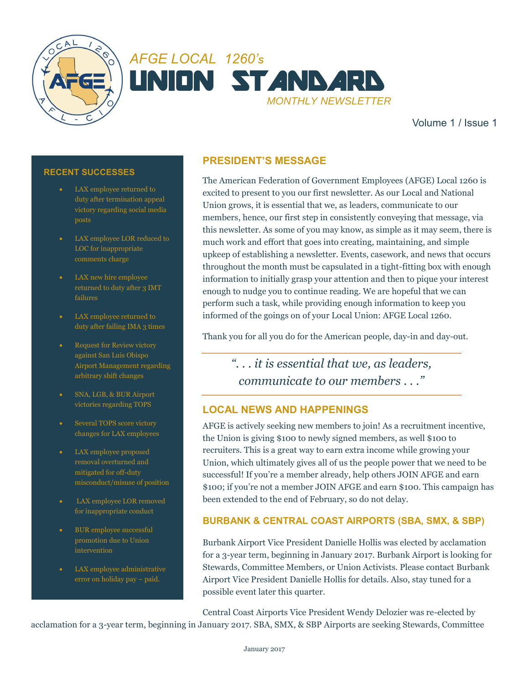



Volume 1 / Issue 1

#### **RECENT SUCCESSES**

- LAX employee returned to duty after termination appeal victory regarding social media
- LAX employee LOR reduced to LOC for inappropriate comments charge
- LAX new hire employee returned to duty after 3 IMT
- LAX employee returned to duty after failing IMA 3 times
- Request for Review victory against San Luis Obispo Airport Management regarding arbitrary shift changes
- SNA, LGB, & BUR Airport victories regarding TOPS
- Several TOPS score victory changes for LAX employees
- LAX employee proposed removal overturned and mitigated for off-duty misconduct/misuse of position
- LAX employee LOR removed for inappropriate conduct
- BUR employee successful promotion due to Union intervention
- LAX employee administrative error on holiday pay – paid.

## **PRESIDENT'S MESSAGE**

The American Federation of Government Employees (AFGE) Local 1260 is excited to present to you our first newsletter. As our Local and National Union grows, it is essential that we, as leaders, communicate to our members, hence, our first step in consistently conveying that message, via this newsletter. As some of you may know, as simple as it may seem, there is much work and effort that goes into creating, maintaining, and simple upkeep of establishing a newsletter. Events, casework, and news that occurs throughout the month must be capsulated in a tight-fitting box with enough information to initially grasp your attention and then to pique your interest enough to nudge you to continue reading. We are hopeful that we can perform such a task, while providing enough information to keep you informed of the goings on of your Local Union: AFGE Local 1260.

Thank you for all you do for the American people, day-in and day-out.

*". . . it is essential that we, as leaders, communicate to our members . . ."*

### **LOCAL NEWS AND HAPPENINGS**

AFGE is actively seeking new members to join! As a recruitment incentive, the Union is giving \$100 to newly signed members, as well \$100 to recruiters. This is a great way to earn extra income while growing your Union, which ultimately gives all of us the people power that we need to be successful! If you're a member already, help others JOIN AFGE and earn \$100; if you're not a member JOIN AFGE and earn \$100. This campaign has been extended to the end of February, so do not delay.

#### **BURBANK & CENTRAL COAST AIRPORTS (SBA, SMX, & SBP)**

Burbank Airport Vice President Danielle Hollis was elected by acclamation for a 3-year term, beginning in January 2017. Burbank Airport is looking for Stewards, Committee Members, or Union Activists. Please contact Burbank Airport Vice President Danielle Hollis for details. Also, stay tuned for a possible event later this quarter.

Central Coast Airports Vice President Wendy Delozier was re-elected by acclamation for a 3-year term, beginning in January 2017. SBA, SMX, & SBP Airports are seeking Stewards, Committee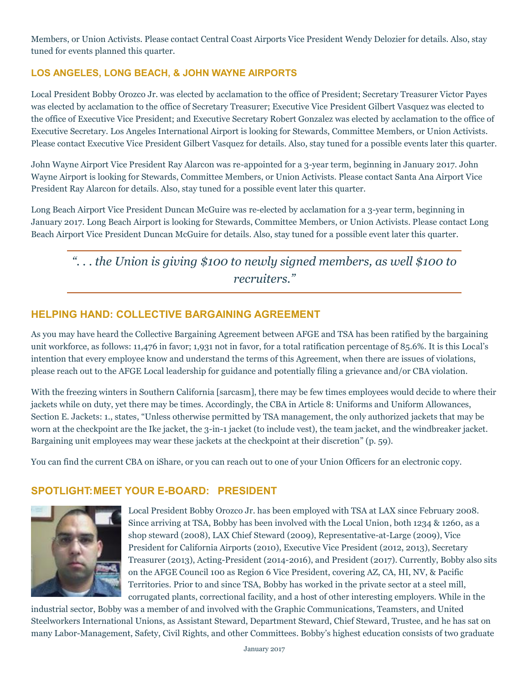Members, or Union Activists. Please contact Central Coast Airports Vice President Wendy Delozier for details. Also, stay tuned for events planned this quarter.

### **LOS ANGELES, LONG BEACH, & JOHN WAYNE AIRPORTS**

Local President Bobby Orozco Jr. was elected by acclamation to the office of President; Secretary Treasurer Victor Payes was elected by acclamation to the office of Secretary Treasurer; Executive Vice President Gilbert Vasquez was elected to the office of Executive Vice President; and Executive Secretary Robert Gonzalez was elected by acclamation to the office of Executive Secretary. Los Angeles International Airport is looking for Stewards, Committee Members, or Union Activists. Please contact Executive Vice President Gilbert Vasquez for details. Also, stay tuned for a possible events later this quarter.

John Wayne Airport Vice President Ray Alarcon was re-appointed for a 3-year term, beginning in January 2017. John Wayne Airport is looking for Stewards, Committee Members, or Union Activists. Please contact Santa Ana Airport Vice President Ray Alarcon for details. Also, stay tuned for a possible event later this quarter.

Long Beach Airport Vice President Duncan McGuire was re-elected by acclamation for a 3-year term, beginning in January 2017. Long Beach Airport is looking for Stewards, Committee Members, or Union Activists. Please contact Long Beach Airport Vice President Duncan McGuire for details. Also, stay tuned for a possible event later this quarter.

# *". . . the Union is giving \$100 to newly signed members, as well \$100 to recruiters."*

### **HELPING HAND: COLLECTIVE BARGAINING AGREEMENT**

As you may have heard the Collective Bargaining Agreement between AFGE and TSA has been ratified by the bargaining unit workforce, as follows: 11,476 in favor; 1,931 not in favor, for a total ratification percentage of 85.6%. It is this Local's intention that every employee know and understand the terms of this Agreement, when there are issues of violations, please reach out to the AFGE Local leadership for guidance and potentially filing a grievance and/or CBA violation.

With the freezing winters in Southern California [sarcasm], there may be few times employees would decide to where their jackets while on duty, yet there may be times. Accordingly, the CBA in Article 8: Uniforms and Uniform Allowances, Section E. Jackets: 1., states, "Unless otherwise permitted by TSA management, the only authorized jackets that may be worn at the checkpoint are the Ike jacket, the 3-in-1 jacket (to include vest), the team jacket, and the windbreaker jacket. Bargaining unit employees may wear these jackets at the checkpoint at their discretion" (p. 59).

You can find the current CBA on iShare, or you can reach out to one of your Union Officers for an electronic copy.

#### **SPOTLIGHT:MEET YOUR E-BOARD: PRESIDENT**



Local President Bobby Orozco Jr. has been employed with TSA at LAX since February 2008. Since arriving at TSA, Bobby has been involved with the Local Union, both 1234 & 1260, as a shop steward (2008), LAX Chief Steward (2009), Representative-at-Large (2009), Vice President for California Airports (2010), Executive Vice President (2012, 2013), Secretary Treasurer (2013), Acting-President (2014-2016), and President (2017). Currently, Bobby also sits on the AFGE Council 100 as Region 6 Vice President, covering AZ, CA, HI, NV, & Pacific Territories. Prior to and since TSA, Bobby has worked in the private sector at a steel mill, corrugated plants, correctional facility, and a host of other interesting employers. While in the

industrial sector, Bobby was a member of and involved with the Graphic Communications, Teamsters, and United Steelworkers International Unions, as Assistant Steward, Department Steward, Chief Steward, Trustee, and he has sat on many Labor-Management, Safety, Civil Rights, and other Committees. Bobby's highest education consists of two graduate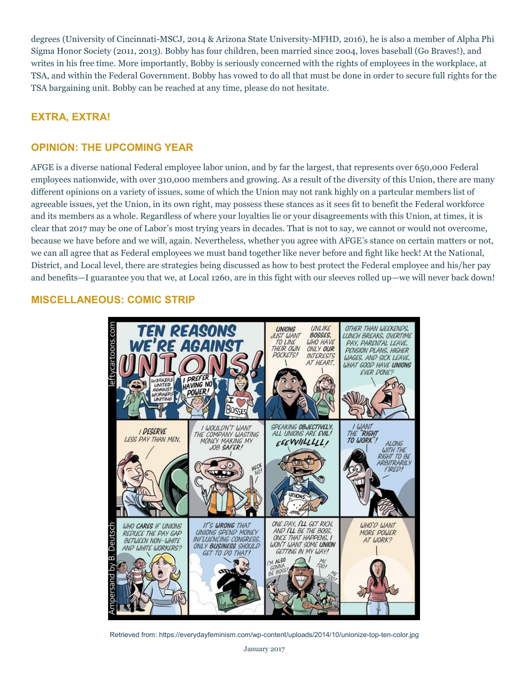degrees (University of Cincinnati-MSCJ, 2014 & Arizona State University-MFHD, 2016), he is also a member of Alpha Phi Sigma Honor Society (2011, 2013). Bobby has four children, been married since 2004, loves baseball (Go Braves!), and writes in his free time. More importantly, Bobby is seriously concerned with the rights of employees in the workplace, at TSA, and within the Federal Government. Bobby has vowed to do all that must be done in order to secure full rights for the TSA bargaining unit. Bobby can be reached at any time, please do not hesitate.

## **EXTRA, EXTRA!**

### **OPINION: THE UPCOMING YEAR**

AFGE is a diverse national Federal employee labor union, and by far the largest, that represents over 650,000 Federal employees nationwide, with over 310,000 members and growing. As a result of the diversity of this Union, there are many different opinions on a variety of issues, some of which the Union may not rank highly on a partcular members list of agreeable issues, yet the Union, in its own right, may possess these stances as it sees fit to benefit the Federal workforce and its members as a whole. Regardless of where your loyalties lie or your disagreements with this Union, at times, it is clear that 2017 may be one of Labor's most trying years in decades. That is not to say, we cannot or would not overcome, because we have before and we will, again. Nevertheless, whether you agree with AFGE's stance on certain matters or not, we can all agree that as Federal employees we must band together like never before and fight like heck! At the National, District, and Local level, there are strategies being discussed as how to best protect the Federal employee and his/her pay and benefits—I guarantee you that we, at Local 1260, are in this fight with our sleeves rolled up—we will never back down!

### **MISCELLANEOUS: COMIC STRIP**



Retrieved from: https://everydayfeminism.com/wp-content/uploads/2014/10/unionize-top-ten-color.jpg